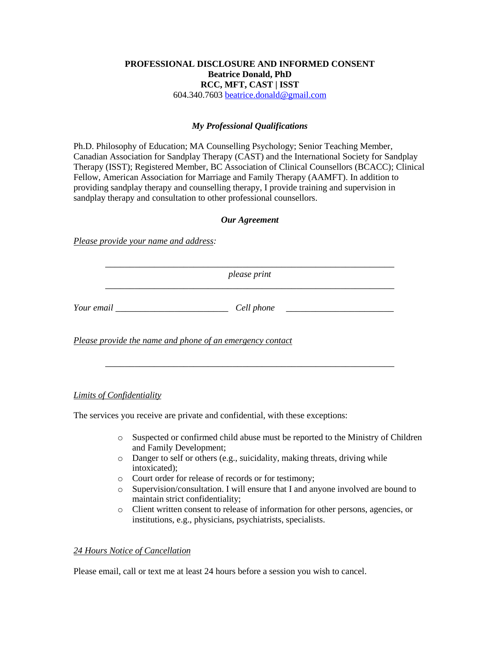# **PROFESSIONAL DISCLOSURE AND INFORMED CONSENT Beatrice Donald, PhD RCC, MFT, CAST | ISST**

604.340.7603 [beatrice.donald@gmail.com](mailto:beatrice.donald@gmail.com)

# *My Professional Qualifications*

Ph.D. Philosophy of Education; MA Counselling Psychology; Senior Teaching Member, Canadian Association for Sandplay Therapy (CAST) and the International Society for Sandplay Therapy (ISST); Registered Member, BC Association of Clinical Counsellors (BCACC); Clinical Fellow, American Association for Marriage and Family Therapy (AAMFT). In addition to providing sandplay therapy and counselling therapy, I provide training and supervision in sandplay therapy and consultation to other professional counsellors.

# *Our Agreement*

*Please provide your name and address:*

\_\_\_\_\_\_\_\_\_\_\_\_\_\_\_\_\_\_\_\_\_\_\_\_\_\_\_\_\_\_\_\_\_\_\_\_\_\_\_\_\_\_\_\_\_\_\_\_\_\_\_\_\_\_\_\_\_\_\_ *please print*

\_\_\_\_\_\_\_\_\_\_\_\_\_\_\_\_\_\_\_\_\_\_\_\_\_\_\_\_\_\_\_\_\_\_\_\_\_\_\_\_\_\_\_\_\_\_\_\_\_\_\_\_\_\_\_\_\_\_\_

*Your email* \_\_\_\_\_\_\_\_\_\_\_\_\_\_\_\_\_\_\_\_\_\_\_*Cell phone* \_\_\_\_\_\_\_\_\_\_\_\_\_\_\_\_\_\_\_\_\_\_

*Please provide the name and phone of an emergency contact*

# *Limits of Confidentiality*

The services you receive are private and confidential, with these exceptions:

- o Suspected or confirmed child abuse must be reported to the Ministry of Children and Family Development;
- o Danger to self or others (e.g., suicidality, making threats, driving while intoxicated);
- o Court order for release of records or for testimony;
- o Supervision/consultation. I will ensure that I and anyone involved are bound to maintain strict confidentiality;
- o Client written consent to release of information for other persons, agencies, or institutions, e.g., physicians, psychiatrists, specialists.

#### *24 Hours Notice of Cancellation*

Please email, call or text me at least 24 hours before a session you wish to cancel.